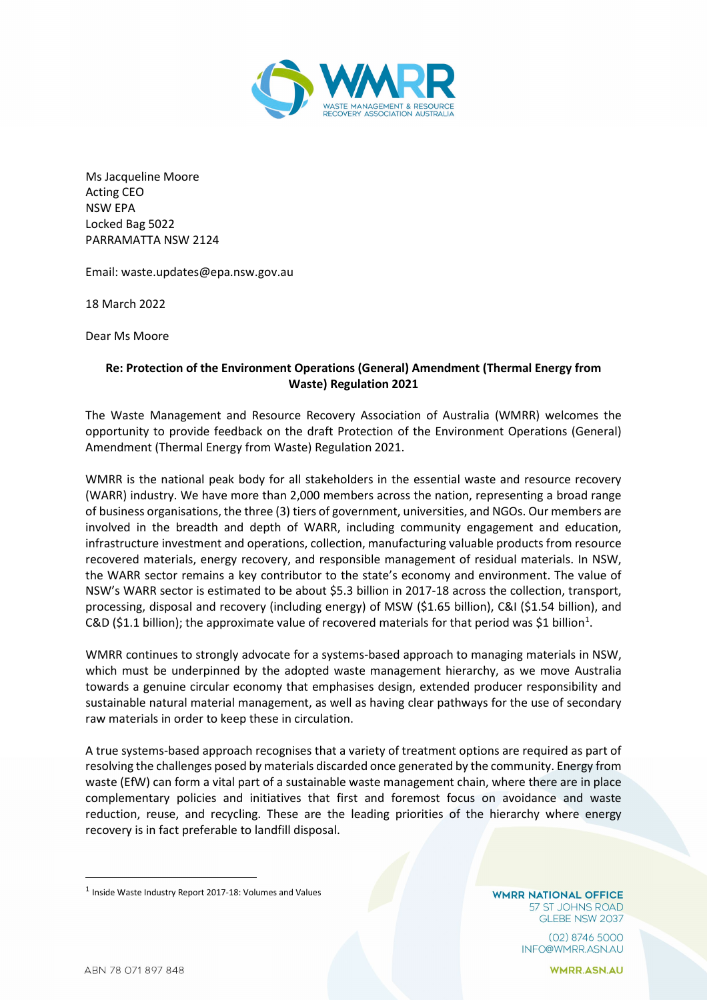

Ms Jacqueline Moore Acting CEO NSW EPA Locked Bag 5022 PARRAMATTA NSW 2124

Email: waste.updates@epa.nsw.gov.au

18 March 2022

Dear Ms Moore

## **Re: Protection of the Environment Operations (General) Amendment (Thermal Energy from Waste) Regulation 2021**

The Waste Management and Resource Recovery Association of Australia (WMRR) welcomes the opportunity to provide feedback on the draft Protection of the Environment Operations (General) Amendment (Thermal Energy from Waste) Regulation 2021.

WMRR is the national peak body for all stakeholders in the essential waste and resource recovery (WARR) industry. We have more than 2,000 members across the nation, representing a broad range of business organisations, the three (3) tiers of government, universities, and NGOs. Our members are involved in the breadth and depth of WARR, including community engagement and education, infrastructure investment and operations, collection, manufacturing valuable products from resource recovered materials, energy recovery, and responsible management of residual materials. In NSW, the WARR sector remains a key contributor to the state's economy and environment. The value of NSW's WARR sector is estimated to be about \$5.3 billion in 2017-18 across the collection, transport, processing, disposal and recovery (including energy) of MSW (\$1.65 billion), C&I (\$1.54 billion), and C&D (\$[1](#page-0-0).1 billion); the approximate value of recovered materials for that period was \$1 billion<sup>1</sup>.

WMRR continues to strongly advocate for a systems-based approach to managing materials in NSW, which must be underpinned by the adopted waste management hierarchy, as we move Australia towards a genuine circular economy that emphasises design, extended producer responsibility and sustainable natural material management, as well as having clear pathways for the use of secondary raw materials in order to keep these in circulation.

A true systems-based approach recognises that a variety of treatment options are required as part of resolving the challenges posed by materials discarded once generated by the community. Energy from waste (EfW) can form a vital part of a sustainable waste management chain, where there are in place complementary policies and initiatives that first and foremost focus on avoidance and waste reduction, reuse, and recycling. These are the leading priorities of the hierarchy where energy recovery is in fact preferable to landfill disposal.

**WMRR NATIONAL OFFICE** 57 ST JOHNS ROAD GLEBE NSW 2037

> (02) 8746 5000 INFO@WMRR.ASN.AU

> > **WMRR.ASN.AU**

<span id="page-0-0"></span> $^{\text{1}}$  Inside Waste Industry Report 2017-18: Volumes and Values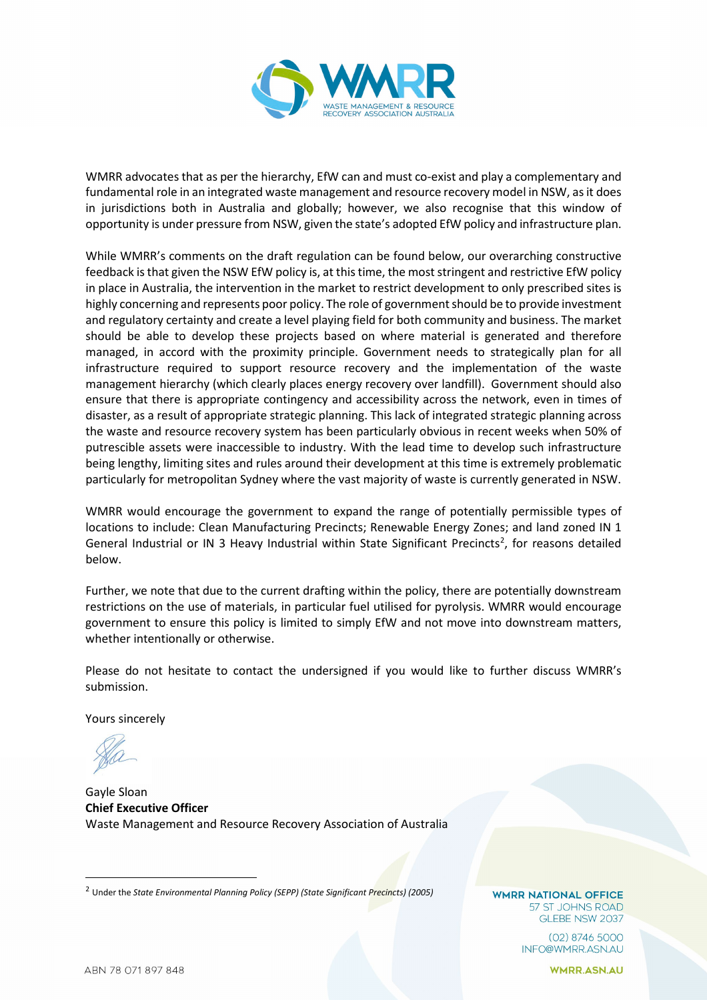

WMRR advocates that as per the hierarchy, EfW can and must co-exist and play a complementary and fundamental role in an integrated waste management and resource recovery model in NSW, as it does in jurisdictions both in Australia and globally; however, we also recognise that this window of opportunity is under pressure from NSW, given the state's adopted EfW policy and infrastructure plan.

While WMRR's comments on the draft regulation can be found below, our overarching constructive feedback is that given the NSW EfW policy is, at this time, the moststringent and restrictive EfW policy in place in Australia, the intervention in the market to restrict development to only prescribed sites is highly concerning and represents poor policy. The role of government should be to provide investment and regulatory certainty and create a level playing field for both community and business. The market should be able to develop these projects based on where material is generated and therefore managed, in accord with the proximity principle. Government needs to strategically plan for all infrastructure required to support resource recovery and the implementation of the waste management hierarchy (which clearly places energy recovery over landfill). Government should also ensure that there is appropriate contingency and accessibility across the network, even in times of disaster, as a result of appropriate strategic planning. This lack of integrated strategic planning across the waste and resource recovery system has been particularly obvious in recent weeks when 50% of putrescible assets were inaccessible to industry. With the lead time to develop such infrastructure being lengthy, limiting sites and rules around their development at this time is extremely problematic particularly for metropolitan Sydney where the vast majority of waste is currently generated in NSW.

WMRR would encourage the government to expand the range of potentially permissible types of locations to include: Clean Manufacturing Precincts; Renewable Energy Zones; and land zoned IN 1 General Industrial or IN 3 Heavy Industrial within State Significant Precincts<sup>[2](#page-1-0)</sup>, for reasons detailed below.

Further, we note that due to the current drafting within the policy, there are potentially downstream restrictions on the use of materials, in particular fuel utilised for pyrolysis. WMRR would encourage government to ensure this policy is limited to simply EfW and not move into downstream matters, whether intentionally or otherwise.

Please do not hesitate to contact the undersigned if you would like to further discuss WMRR's submission.

Yours sincerely

Gayle Sloan **Chief Executive Officer** Waste Management and Resource Recovery Association of Australia

**WMRR NATIONAL OFFICE** 57 ST JOHNS ROAD GLEBE NSW 2037

> $(02)$  8746 5000 INFO@WMRR.ASN.AU

> > **WMRR.ASN.AU**

<span id="page-1-0"></span><sup>2</sup> Under the *State Environmental Planning Policy (SEPP) (State Significant Precincts) (2005)*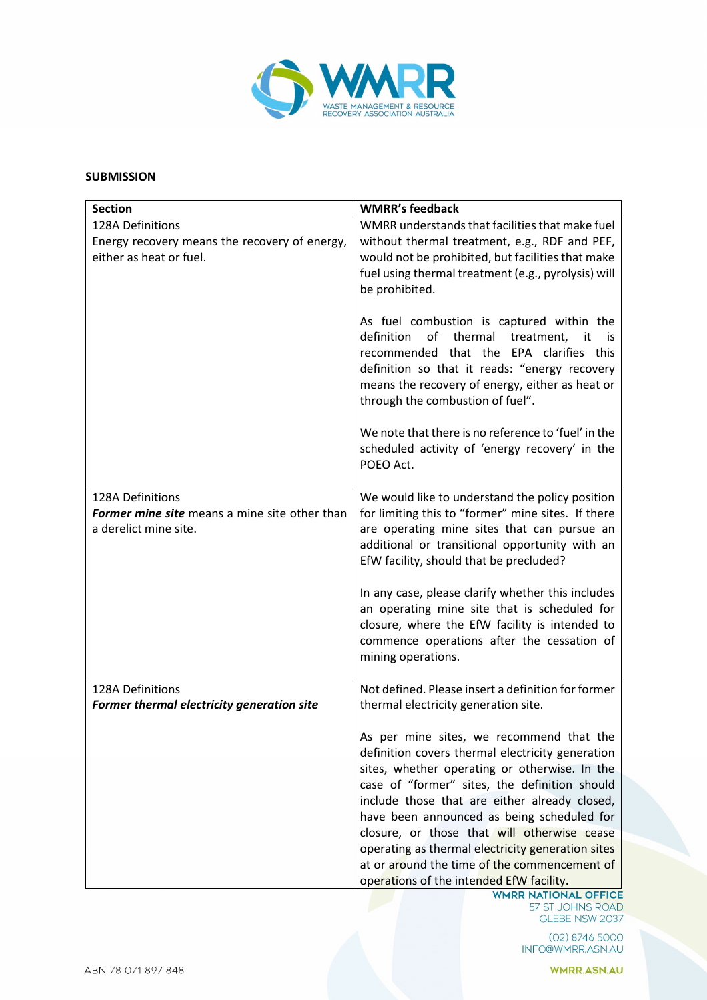

## **SUBMISSION**

| <b>Section</b>                                                                               | <b>WMRR's feedback</b>                                                                                                                                                                                                                                                                                                                                                                                                                                                                        |
|----------------------------------------------------------------------------------------------|-----------------------------------------------------------------------------------------------------------------------------------------------------------------------------------------------------------------------------------------------------------------------------------------------------------------------------------------------------------------------------------------------------------------------------------------------------------------------------------------------|
| 128A Definitions<br>Energy recovery means the recovery of energy,<br>either as heat or fuel. | WMRR understands that facilities that make fuel<br>without thermal treatment, e.g., RDF and PEF,<br>would not be prohibited, but facilities that make<br>fuel using thermal treatment (e.g., pyrolysis) will<br>be prohibited.                                                                                                                                                                                                                                                                |
|                                                                                              | As fuel combustion is captured within the<br>of thermal treatment,<br>definition<br>it<br>is<br>recommended that the EPA clarifies this<br>definition so that it reads: "energy recovery<br>means the recovery of energy, either as heat or<br>through the combustion of fuel".                                                                                                                                                                                                               |
|                                                                                              | We note that there is no reference to 'fuel' in the<br>scheduled activity of 'energy recovery' in the<br>POEO Act.                                                                                                                                                                                                                                                                                                                                                                            |
| 128A Definitions                                                                             | We would like to understand the policy position                                                                                                                                                                                                                                                                                                                                                                                                                                               |
| <b>Former mine site</b> means a mine site other than<br>a derelict mine site.                | for limiting this to "former" mine sites. If there<br>are operating mine sites that can pursue an                                                                                                                                                                                                                                                                                                                                                                                             |
|                                                                                              | additional or transitional opportunity with an<br>EfW facility, should that be precluded?                                                                                                                                                                                                                                                                                                                                                                                                     |
|                                                                                              | In any case, please clarify whether this includes<br>an operating mine site that is scheduled for<br>closure, where the EfW facility is intended to<br>commence operations after the cessation of<br>mining operations.                                                                                                                                                                                                                                                                       |
| 128A Definitions                                                                             | Not defined. Please insert a definition for former                                                                                                                                                                                                                                                                                                                                                                                                                                            |
| Former thermal electricity generation site                                                   | thermal electricity generation site.                                                                                                                                                                                                                                                                                                                                                                                                                                                          |
|                                                                                              | As per mine sites, we recommend that the<br>definition covers thermal electricity generation<br>sites, whether operating or otherwise. In the<br>case of "former" sites, the definition should<br>include those that are either already closed,<br>have been announced as being scheduled for<br>closure, or those that will otherwise cease<br>operating as thermal electricity generation sites<br>at or around the time of the commencement of<br>operations of the intended EfW facility. |

(02) 8746 5000 INFO@WMRR.ASN.AU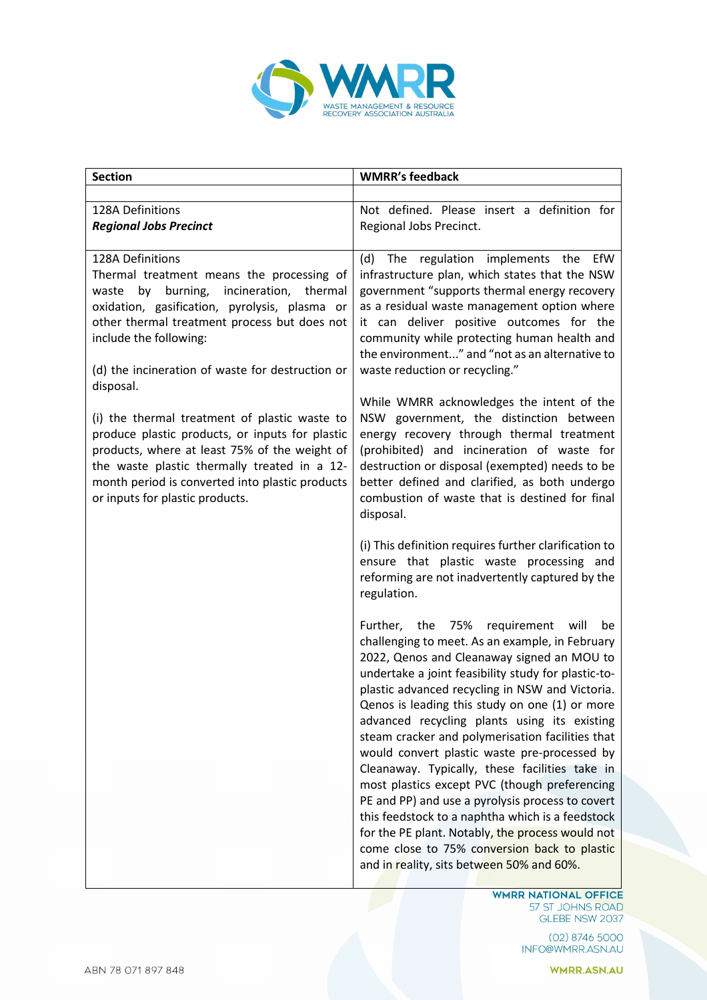

| <b>Section</b>                                                                                                                                                                                                                                                                                             | <b>WMRR's feedback</b>                                                                                                                                                                                                                                                                                                                                                                                                                                                                                                                                                                                                                                                                                                                                                                                                  |
|------------------------------------------------------------------------------------------------------------------------------------------------------------------------------------------------------------------------------------------------------------------------------------------------------------|-------------------------------------------------------------------------------------------------------------------------------------------------------------------------------------------------------------------------------------------------------------------------------------------------------------------------------------------------------------------------------------------------------------------------------------------------------------------------------------------------------------------------------------------------------------------------------------------------------------------------------------------------------------------------------------------------------------------------------------------------------------------------------------------------------------------------|
|                                                                                                                                                                                                                                                                                                            |                                                                                                                                                                                                                                                                                                                                                                                                                                                                                                                                                                                                                                                                                                                                                                                                                         |
| 128A Definitions<br><b>Regional Jobs Precinct</b>                                                                                                                                                                                                                                                          | Not defined. Please insert a definition for<br>Regional Jobs Precinct.                                                                                                                                                                                                                                                                                                                                                                                                                                                                                                                                                                                                                                                                                                                                                  |
| 128A Definitions<br>Thermal treatment means the processing of<br>burning, incineration, thermal<br>by<br>waste<br>oxidation, gasification, pyrolysis, plasma or<br>other thermal treatment process but does not<br>include the following:<br>(d) the incineration of waste for destruction or<br>disposal. | regulation implements the<br>EfW<br>(d)<br>The<br>infrastructure plan, which states that the NSW<br>government "supports thermal energy recovery<br>as a residual waste management option where<br>it can deliver positive outcomes for the<br>community while protecting human health and<br>the environment" and "not as an alternative to<br>waste reduction or recycling."                                                                                                                                                                                                                                                                                                                                                                                                                                          |
| (i) the thermal treatment of plastic waste to<br>produce plastic products, or inputs for plastic<br>products, where at least 75% of the weight of<br>the waste plastic thermally treated in a 12-<br>month period is converted into plastic products<br>or inputs for plastic products.                    | While WMRR acknowledges the intent of the<br>NSW government, the distinction between<br>energy recovery through thermal treatment<br>(prohibited) and incineration of waste for<br>destruction or disposal (exempted) needs to be<br>better defined and clarified, as both undergo<br>combustion of waste that is destined for final<br>disposal.                                                                                                                                                                                                                                                                                                                                                                                                                                                                       |
|                                                                                                                                                                                                                                                                                                            | (i) This definition requires further clarification to<br>ensure that plastic waste processing and<br>reforming are not inadvertently captured by the<br>regulation.                                                                                                                                                                                                                                                                                                                                                                                                                                                                                                                                                                                                                                                     |
|                                                                                                                                                                                                                                                                                                            | Further, the 75%<br>requirement will<br>be<br>challenging to meet. As an example, in February<br>2022, Qenos and Cleanaway signed an MOU to<br>undertake a joint feasibility study for plastic-to-<br>plastic advanced recycling in NSW and Victoria.<br>Qenos is leading this study on one (1) or more<br>advanced recycling plants using its existing<br>steam cracker and polymerisation facilities that<br>would convert plastic waste pre-processed by<br>Cleanaway. Typically, these facilities take in<br>most plastics except PVC (though preferencing<br>PE and PP) and use a pyrolysis process to covert<br>this feedstock to a naphtha which is a feedstock<br>for the PE plant. Notably, the process would not<br>come close to 75% conversion back to plastic<br>and in reality, sits between 50% and 60%. |

WHER NATIONAL OFFICE<br>57 ST JOHNS ROAD<br>GLEBE NSW 2037

(02) 8746 5000 INFO@WMRR.ASN.AU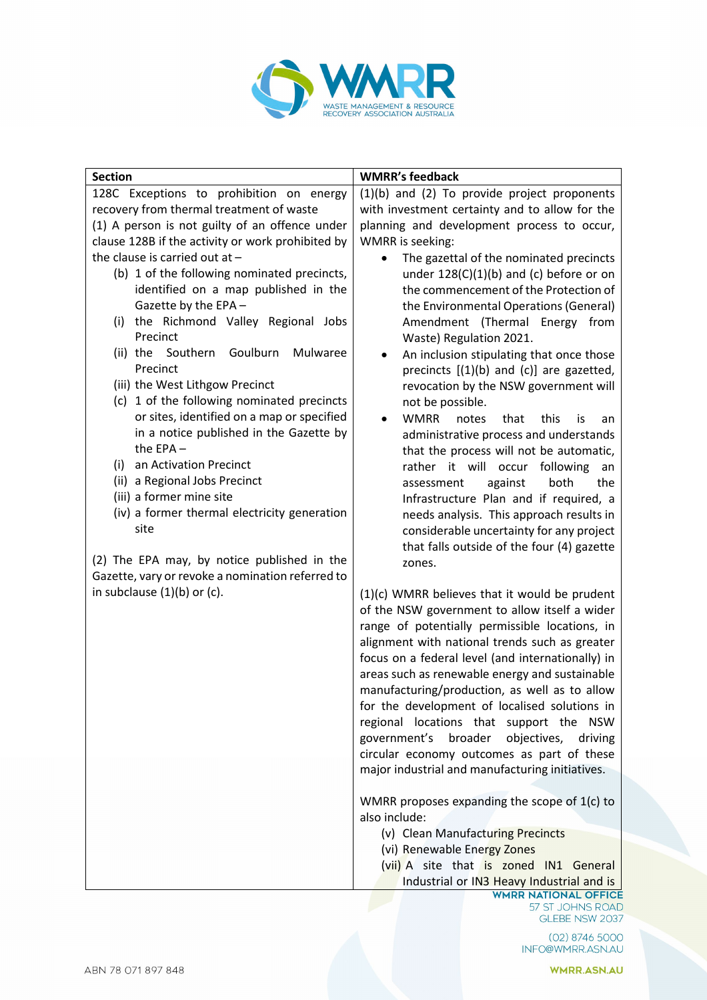

| <b>Section</b>                                        | <b>WMRR's feedback</b>                                                                           |
|-------------------------------------------------------|--------------------------------------------------------------------------------------------------|
| 128C Exceptions to prohibition on energy              | (1)(b) and (2) To provide project proponents                                                     |
| recovery from thermal treatment of waste              | with investment certainty and to allow for the                                                   |
| (1) A person is not guilty of an offence under        | planning and development process to occur,                                                       |
| clause 128B if the activity or work prohibited by     | <b>WMRR</b> is seeking:                                                                          |
| the clause is carried out at $-$                      | The gazettal of the nominated precincts                                                          |
| (b) 1 of the following nominated precincts,           | under $128(C)(1)(b)$ and (c) before or on                                                        |
| identified on a map published in the                  | the commencement of the Protection of                                                            |
| Gazette by the EPA -                                  | the Environmental Operations (General)                                                           |
| the Richmond Valley Regional Jobs<br>(i)              | Amendment (Thermal Energy from                                                                   |
| Precinct<br>Goulburn<br>Mulwaree<br>(ii) the Southern | Waste) Regulation 2021.                                                                          |
| Precinct                                              | An inclusion stipulating that once those<br>٠                                                    |
| (iii) the West Lithgow Precinct                       | precincts $[(1)(b)$ and $(c)]$ are gazetted,<br>revocation by the NSW government will            |
| (c) 1 of the following nominated precincts            | not be possible.                                                                                 |
| or sites, identified on a map or specified            | <b>WMRR</b><br>notes<br>that<br>this<br>is<br>an                                                 |
| in a notice published in the Gazette by               | administrative process and understands                                                           |
| the $EPA -$                                           | that the process will not be automatic,                                                          |
| an Activation Precinct<br>(i)                         | rather it will occur<br>following<br>an                                                          |
| (ii) a Regional Jobs Precinct                         | both<br>the<br>assessment<br>against                                                             |
| (iii) a former mine site                              | Infrastructure Plan and if required, a                                                           |
| (iv) a former thermal electricity generation          | needs analysis. This approach results in                                                         |
| site                                                  | considerable uncertainty for any project                                                         |
|                                                       | that falls outside of the four (4) gazette                                                       |
| (2) The EPA may, by notice published in the           | zones.                                                                                           |
| Gazette, vary or revoke a nomination referred to      |                                                                                                  |
| in subclause $(1)(b)$ or $(c)$ .                      | $(1)(c)$ WMRR believes that it would be prudent                                                  |
|                                                       | of the NSW government to allow itself a wider                                                    |
|                                                       | range of potentially permissible locations, in<br>alignment with national trends such as greater |
|                                                       | focus on a federal level (and internationally) in                                                |
|                                                       | areas such as renewable energy and sustainable                                                   |
|                                                       | manufacturing/production, as well as to allow                                                    |
|                                                       | for the development of localised solutions in                                                    |
|                                                       | regional locations that support the NSW                                                          |
|                                                       | government's broader<br>objectives,<br>driving                                                   |
|                                                       | circular economy outcomes as part of these                                                       |
|                                                       | major industrial and manufacturing initiatives.                                                  |
|                                                       |                                                                                                  |
|                                                       | WMRR proposes expanding the scope of 1(c) to                                                     |
|                                                       | also include:                                                                                    |
|                                                       | (v) Clean Manufacturing Precincts                                                                |
|                                                       | (vi) Renewable Energy Zones                                                                      |
|                                                       | (vii) A site that is zoned IN1 General                                                           |
|                                                       | Industrial or IN3 Heavy Industrial and is<br><b>WMRR NATIONAL OFFICE</b>                         |

57 ST JOHNS ROAD<br>GLEBE NSW 2037

02) 8746 5000<br>INFO@WMRR.ASN.AU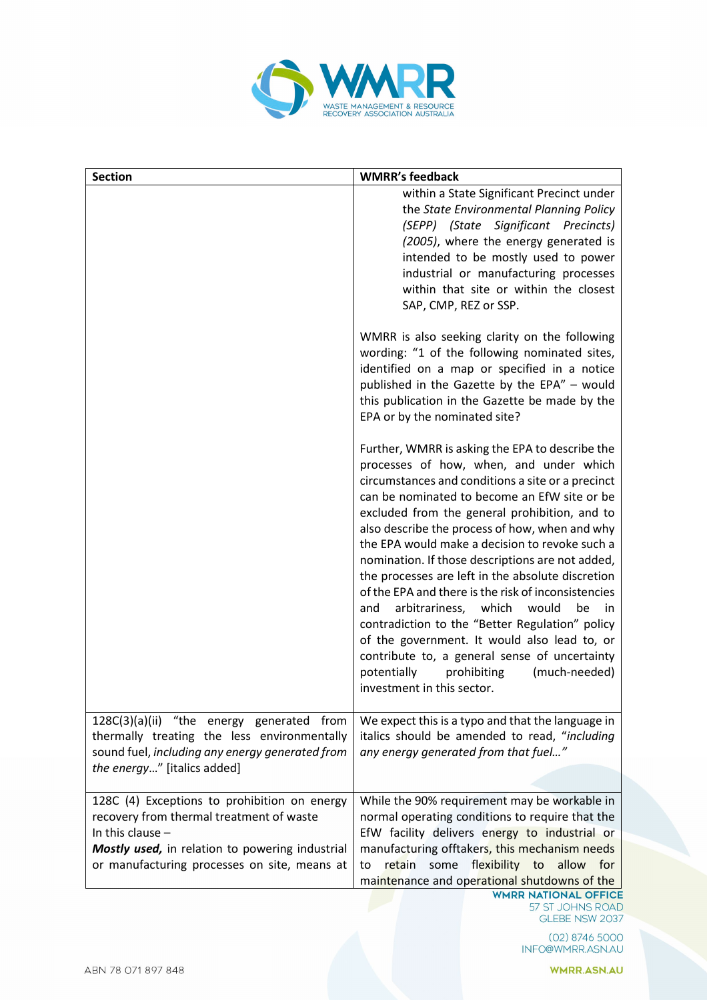

| <b>Section</b>                                                                                                                                                                                                    | <b>WMRR's feedback</b>                                                                                                                                                                                                                                                                                                                                                                                                                                                                                                                                                                                                                                                                                                                                                                                     |
|-------------------------------------------------------------------------------------------------------------------------------------------------------------------------------------------------------------------|------------------------------------------------------------------------------------------------------------------------------------------------------------------------------------------------------------------------------------------------------------------------------------------------------------------------------------------------------------------------------------------------------------------------------------------------------------------------------------------------------------------------------------------------------------------------------------------------------------------------------------------------------------------------------------------------------------------------------------------------------------------------------------------------------------|
|                                                                                                                                                                                                                   | within a State Significant Precinct under<br>the State Environmental Planning Policy<br>(SEPP) (State Significant Precincts)<br>(2005), where the energy generated is<br>intended to be mostly used to power<br>industrial or manufacturing processes<br>within that site or within the closest<br>SAP, CMP, REZ or SSP.                                                                                                                                                                                                                                                                                                                                                                                                                                                                                   |
|                                                                                                                                                                                                                   | WMRR is also seeking clarity on the following<br>wording: "1 of the following nominated sites,<br>identified on a map or specified in a notice<br>published in the Gazette by the EPA" - would<br>this publication in the Gazette be made by the<br>EPA or by the nominated site?                                                                                                                                                                                                                                                                                                                                                                                                                                                                                                                          |
|                                                                                                                                                                                                                   | Further, WMRR is asking the EPA to describe the<br>processes of how, when, and under which<br>circumstances and conditions a site or a precinct<br>can be nominated to become an EfW site or be<br>excluded from the general prohibition, and to<br>also describe the process of how, when and why<br>the EPA would make a decision to revoke such a<br>nomination. If those descriptions are not added,<br>the processes are left in the absolute discretion<br>of the EPA and there is the risk of inconsistencies<br>arbitrariness, which<br>would<br>be<br>and<br>in.<br>contradiction to the "Better Regulation" policy<br>of the government. It would also lead to, or<br>contribute to, a general sense of uncertainty<br>potentially<br>(much-needed)<br>prohibiting<br>investment in this sector. |
| 128C(3)(a)(ii) "the energy generated from<br>thermally treating the less environmentally<br>sound fuel, including any energy generated from<br>the energy" [italics added]                                        | We expect this is a typo and that the language in<br>italics should be amended to read, "including<br>any energy generated from that fuel"                                                                                                                                                                                                                                                                                                                                                                                                                                                                                                                                                                                                                                                                 |
| 128C (4) Exceptions to prohibition on energy<br>recovery from thermal treatment of waste<br>In this clause $-$<br>Mostly used, in relation to powering industrial<br>or manufacturing processes on site, means at | While the 90% requirement may be workable in<br>normal operating conditions to require that the<br>EfW facility delivers energy to industrial or<br>manufacturing offtakers, this mechanism needs<br>retain some flexibility to allow for<br>to<br>maintenance and operational shutdowns of the<br><b>WMRR NATIONAL OFFICE</b>                                                                                                                                                                                                                                                                                                                                                                                                                                                                             |

57 ST JOHNS ROAD GLEBE NSW 2037

02) 8746 5000<br>INFO@WMRR.ASN.AU